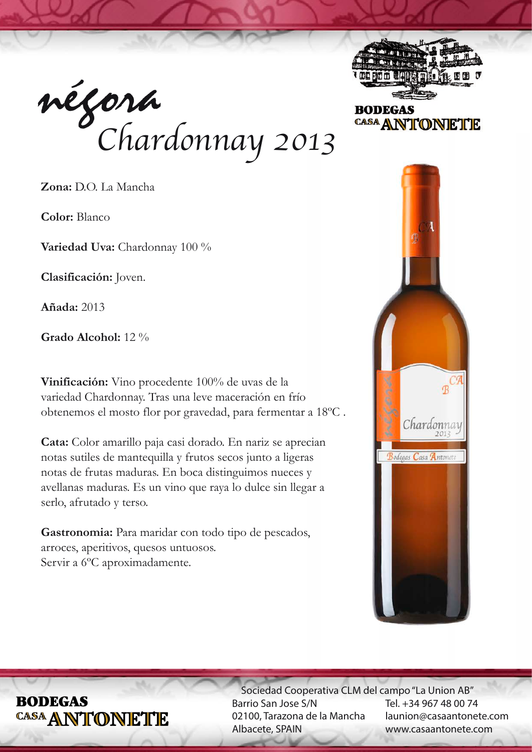



**BODEGAS** CASA ANTONETE

**Zona:** D.O. La Mancha

**Color:** Blanco

**Variedad Uva:** Chardonnay 100 %

**Clasificación:** Joven.

**Añada:** 2013

**Grado Alcohol:** 12 %

**Vinificación:** Vino procedente 100% de uvas de la variedad Chardonnay. Tras una leve maceración en frío obtenemos el mosto flor por gravedad, para fermentar a 18ºC .

**Cata:** Color amarillo paja casi dorado. En nariz se aprecian notas sutiles de mantequilla y frutos secos junto a ligeras notas de frutas maduras. En boca distinguimos nueces y avellanas maduras. Es un vino que raya lo dulce sin llegar a serlo, afrutado y terso.

Gastronomia: Para maridar con todo tipo de pescados, arroces, aperitivos, quesos untuosos. Servir a 6ºC aproximadamente.



# **BODEGAS** CASA ANTONETTE

 Sociedad Cooperativa CLM del campo "La Union AB" Barrio San Jose S/N 02100, Tarazona de la Mancha Albacete, SPAIN

Tel. +34 967 48 00 74 launion@casaantonete.com www.casaantonete.com